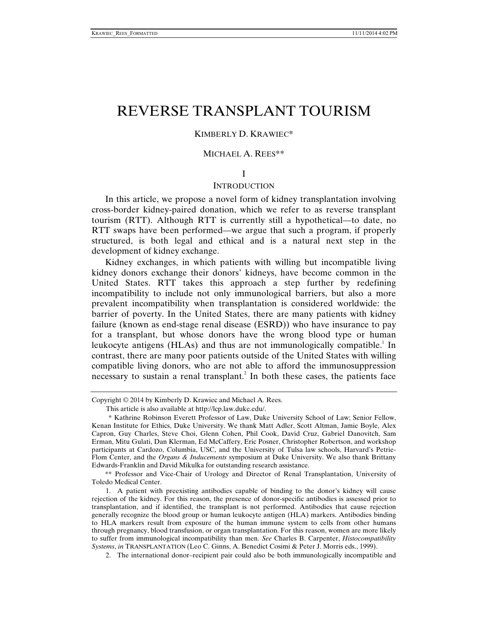# REVERSE TRANSPLANT TOURISM

### KIMBERLY D. KRAWIEC\*

#### MICHAEL A. REES\*\*

I

#### **INTRODUCTION**

In this article, we propose a novel form of kidney transplantation involving cross-border kidney-paired donation, which we refer to as reverse transplant tourism (RTT). Although RTT is currently still a hypothetical—to date, no RTT swaps have been performed—we argue that such a program, if properly structured, is both legal and ethical and is a natural next step in the development of kidney exchange.

Kidney exchanges, in which patients with willing but incompatible living kidney donors exchange their donors' kidneys, have become common in the United States. RTT takes this approach a step further by redefining incompatibility to include not only immunological barriers, but also a more prevalent incompatibility when transplantation is considered worldwide: the barrier of poverty. In the United States, there are many patients with kidney failure (known as end-stage renal disease (ESRD)) who have insurance to pay for a transplant, but whose donors have the wrong blood type or human leukocyte antigens (HLAs) and thus are not immunologically compatible.<sup>1</sup> In contrast, there are many poor patients outside of the United States with willing compatible living donors, who are not able to afford the immunosuppression necessary to sustain a renal transplant.<sup>2</sup> In both these cases, the patients face

 \*\* Professor and Vice-Chair of Urology and Director of Renal Transplantation, University of Toledo Medical Center.

2. The international donor–recipient pair could also be both immunologically incompatible and

Copyright © 2014 by Kimberly D. Krawiec and Michael A. Rees.

This article is also available at http://lcp.law.duke.edu/.

 <sup>\*</sup> Kathrine Robinson Everett Professor of Law, Duke University School of Law; Senior Fellow, Kenan Institute for Ethics, Duke University. We thank Matt Adler, Scott Altman, Jamie Boyle, Alex Capron, Guy Charles, Steve Choi, Glenn Cohen, Phil Cook, David Cruz, Gabriel Danovitch, Sam Erman, Mitu Gulati, Dan Klerman, Ed McCaffery, Eric Posner, Christopher Robertson, and workshop participants at Cardozo, Columbia, USC, and the University of Tulsa law schools, Harvard's Petrie-Flom Center, and the *Organs & Inducements* symposium at Duke University. We also thank Brittany Edwards-Franklin and David Mikulka for outstanding research assistance.

 <sup>1.</sup> A patient with preexisting antibodies capable of binding to the donor's kidney will cause rejection of the kidney. For this reason, the presence of donor-specific antibodies is assessed prior to transplantation, and if identified, the transplant is not performed. Antibodies that cause rejection generally recognize the blood group or human leukocyte antigen (HLA) markers. Antibodies binding to HLA markers result from exposure of the human immune system to cells from other humans through pregnancy, blood transfusion, or organ transplantation. For this reason, women are more likely to suffer from immunological incompatibility than men. *See* Charles B. Carpenter, *Histocompatibility Systems*, *in* TRANSPLANTATION (Leo C. Ginns, A. Benedict Cosimi & Peter J. Morris eds., 1999).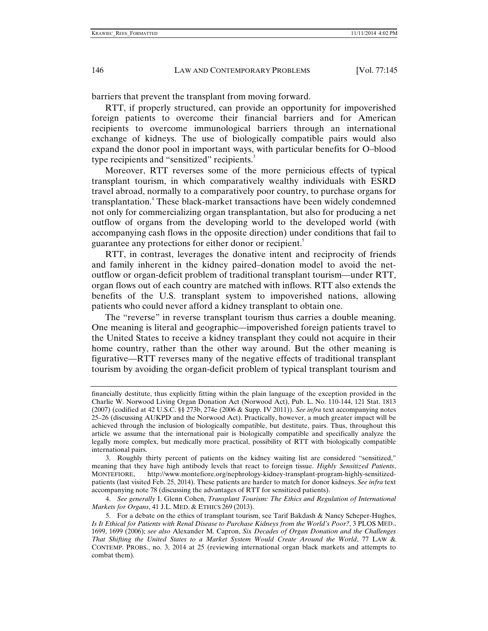barriers that prevent the transplant from moving forward.

RTT, if properly structured, can provide an opportunity for impoverished foreign patients to overcome their financial barriers and for American recipients to overcome immunological barriers through an international exchange of kidneys. The use of biologically compatible pairs would also expand the donor pool in important ways, with particular benefits for O–blood type recipients and "sensitized" recipients.<sup>3</sup>

Moreover, RTT reverses some of the more pernicious effects of typical transplant tourism, in which comparatively wealthy individuals with ESRD travel abroad, normally to a comparatively poor country, to purchase organs for transplantation.<sup>4</sup> These black-market transactions have been widely condemned not only for commercializing organ transplantation, but also for producing a net outflow of organs from the developing world to the developed world (with accompanying cash flows in the opposite direction) under conditions that fail to guarantee any protections for either donor or recipient.

RTT, in contrast, leverages the donative intent and reciprocity of friends and family inherent in the kidney paired–donation model to avoid the netoutflow or organ-deficit problem of traditional transplant tourism—under RTT, organ flows out of each country are matched with inflows. RTT also extends the benefits of the U.S. transplant system to impoverished nations, allowing patients who could never afford a kidney transplant to obtain one.

The "reverse" in reverse transplant tourism thus carries a double meaning. One meaning is literal and geographic—impoverished foreign patients travel to the United States to receive a kidney transplant they could not acquire in their home country, rather than the other way around. But the other meaning is figurative—RTT reverses many of the negative effects of traditional transplant tourism by avoiding the organ-deficit problem of typical transplant tourism and

 4. *See generally* I. Glenn Cohen, *Transplant Tourism: The Ethics and Regulation of International Markets for Organs*, 41 J.L. MED. & ETHICS 269 (2013).

financially destitute, thus explicitly fitting within the plain language of the exception provided in the Charlie W. Norwood Living Organ Donation Act (Norwood Act), Pub. L. No. 110-144, 121 Stat. 1813 (2007) (codified at 42 U.S.C. §§ 273b, 274e (2006 & Supp. IV 2011)). *See infra* text accompanying notes 25–26 (discussing AUKPD and the Norwood Act). Practically, however, a much greater impact will be achieved through the inclusion of biologically compatible, but destitute, pairs. Thus, throughout this article we assume that the international pair is biologically compatible and specifically analyze the legally more complex, but medically more practical, possibility of RTT with biologically compatible international pairs.

 <sup>3.</sup> Roughly thirty percent of patients on the kidney waiting list are considered "sensitized," meaning that they have high antibody levels that react to foreign tissue. *Highly Sensitized Patients*, MONTEFIORE, http://www.montefiore.org/nephrology-kidney-transplant-program-highly-sensitizedpatients (last visited Feb. 25, 2014). These patients are harder to match for donor kidneys. *See infra* text accompanying note 78 (discussing the advantages of RTT for sensitized patients).

 <sup>5.</sup> For a debate on the ethics of transplant tourism, see Tarif Bakdash & Nancy Scheper-Hughes, *Is It Ethical for Patients with Renal Disease to Purchase Kidneys from the World's Poor?*, 3 PLOS MED., 1699, 1699 (2006); *see also* Alexander M. Capron, *Six Decades of Organ Donation and the Challenges That Shifting the United States to a Market System Would Create Around the World*, 77 LAW & CONTEMP. PROBS., no. 3, 2014 at 25 (reviewing international organ black markets and attempts to combat them).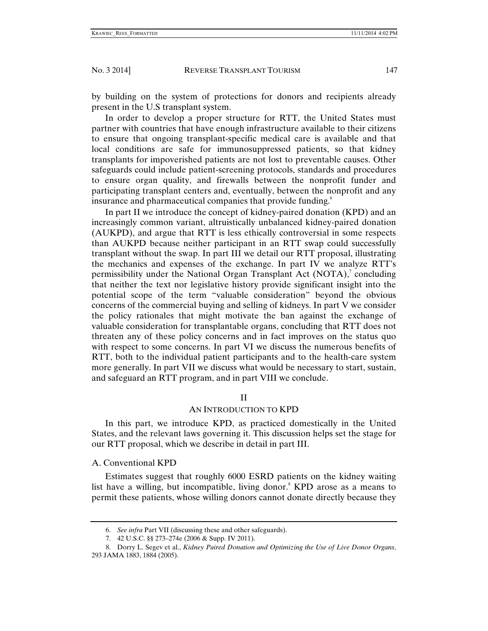by building on the system of protections for donors and recipients already present in the U.S transplant system.

In order to develop a proper structure for RTT, the United States must partner with countries that have enough infrastructure available to their citizens to ensure that ongoing transplant-specific medical care is available and that local conditions are safe for immunosuppressed patients, so that kidney transplants for impoverished patients are not lost to preventable causes. Other safeguards could include patient-screening protocols, standards and procedures to ensure organ quality, and firewalls between the nonprofit funder and participating transplant centers and, eventually, between the nonprofit and any insurance and pharmaceutical companies that provide funding.<sup>6</sup>

In part II we introduce the concept of kidney-paired donation (KPD) and an increasingly common variant, altruistically unbalanced kidney-paired donation (AUKPD), and argue that RTT is less ethically controversial in some respects than AUKPD because neither participant in an RTT swap could successfully transplant without the swap. In part III we detail our RTT proposal, illustrating the mechanics and expenses of the exchange. In part IV we analyze RTT's permissibility under the National Organ Transplant Act  $(NOTA)$ , concluding that neither the text nor legislative history provide significant insight into the potential scope of the term "valuable consideration" beyond the obvious concerns of the commercial buying and selling of kidneys. In part V we consider the policy rationales that might motivate the ban against the exchange of valuable consideration for transplantable organs, concluding that RTT does not threaten any of these policy concerns and in fact improves on the status quo with respect to some concerns. In part VI we discuss the numerous benefits of RTT, both to the individual patient participants and to the health-care system more generally. In part VII we discuss what would be necessary to start, sustain, and safeguard an RTT program, and in part VIII we conclude.

#### II

#### AN INTRODUCTION TO KPD

In this part, we introduce KPD, as practiced domestically in the United States, and the relevant laws governing it. This discussion helps set the stage for our RTT proposal, which we describe in detail in part III.

## A. Conventional KPD

Estimates suggest that roughly 6000 ESRD patients on the kidney waiting list have a willing, but incompatible, living donor.<sup>8</sup> KPD arose as a means to permit these patients, whose willing donors cannot donate directly because they

 <sup>6.</sup> *See infra* Part VII (discussing these and other safeguards).

 <sup>7. 42</sup> U.S.C. §§ 273–274e (2006 & Supp. IV 2011).

 <sup>8.</sup> Dorry L. Segev et al., *Kidney Paired Donation and Optimizing the Use of Live Donor Organs*, 293 JAMA 1883, 1884 (2005).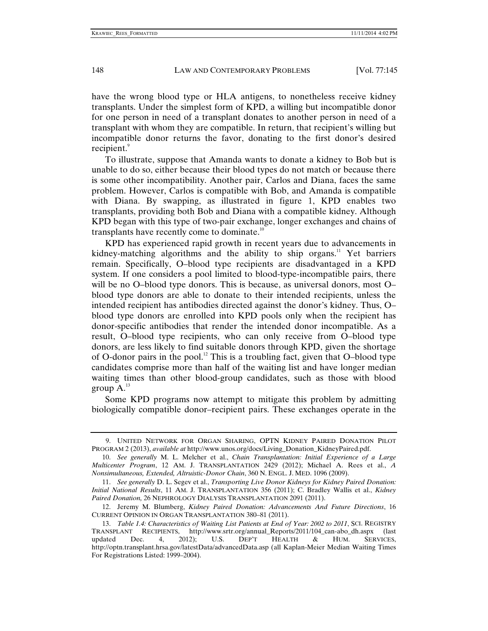have the wrong blood type or HLA antigens, to nonetheless receive kidney transplants. Under the simplest form of KPD, a willing but incompatible donor for one person in need of a transplant donates to another person in need of a transplant with whom they are compatible. In return, that recipient's willing but incompatible donor returns the favor, donating to the first donor's desired recipient.<sup>9</sup>

To illustrate, suppose that Amanda wants to donate a kidney to Bob but is unable to do so, either because their blood types do not match or because there is some other incompatibility. Another pair, Carlos and Diana, faces the same problem. However, Carlos is compatible with Bob, and Amanda is compatible with Diana. By swapping, as illustrated in figure 1, KPD enables two transplants, providing both Bob and Diana with a compatible kidney. Although KPD began with this type of two-pair exchange, longer exchanges and chains of transplants have recently come to dominate.<sup>10</sup>

KPD has experienced rapid growth in recent years due to advancements in kidney-matching algorithms and the ability to ship organs.<sup>11</sup> Yet barriers remain. Specifically, O–blood type recipients are disadvantaged in a KPD system. If one considers a pool limited to blood-type-incompatible pairs, there will be no O–blood type donors. This is because, as universal donors, most O– blood type donors are able to donate to their intended recipients, unless the intended recipient has antibodies directed against the donor's kidney. Thus, O– blood type donors are enrolled into KPD pools only when the recipient has donor-specific antibodies that render the intended donor incompatible. As a result, O–blood type recipients, who can only receive from O–blood type donors, are less likely to find suitable donors through KPD, given the shortage of O-donor pairs in the pool.<sup>12</sup> This is a troubling fact, given that O-blood type candidates comprise more than half of the waiting list and have longer median waiting times than other blood-group candidates, such as those with blood group  $A^{13}$ 

Some KPD programs now attempt to mitigate this problem by admitting biologically compatible donor–recipient pairs. These exchanges operate in the

 <sup>9.</sup> UNITED NETWORK FOR ORGAN SHARING, OPTN KIDNEY PAIRED DONATION PILOT PROGRAM 2 (2013), *available at* http://www.unos.org/docs/Living\_Donation\_KidneyPaired.pdf.

 <sup>10.</sup> *See generally* M. L. Melcher et al., *Chain Transplantation: Initial Experience of a Large Multicenter Program*, 12 AM. J. TRANSPLANTATION 2429 (2012); Michael A. Rees et al., *A Nonsimultaneous, Extended, Altruistic-Donor Chain*, 360 N. ENGL. J. MED. 1096 (2009).

 <sup>11.</sup> *See generally* D. L. Segev et al., *Transporting Live Donor Kidneys for Kidney Paired Donation: Initial National Results*, 11 AM. J. TRANSPLANTATION 356 (2011); C. Bradley Wallis et al., *Kidney Paired Donation,* 26 NEPHROLOGY DIALYSIS TRANSPLANTATION 2091 (2011).

 <sup>12.</sup> Jeremy M. Blumberg, *Kidney Paired Donation: Advancements And Future Directions*, 16 CURRENT OPINION IN ORGAN TRANSPLANTATION 380–81 (2011).

 <sup>13.</sup> *Table 1.4: Characteristics of Waiting List Patients at End of Year: 2002 to 2011*, SCI. REGISTRY TRANSPLANT RECIPIENTS, http://www.srtr.org/annual\_Reports/2011/104\_can-abo\_dh.aspx (last updated Dec. 4, 2012); U.S. DEP'T HEALTH & HUM. SERVICES, updated Dec. 4, 2012); U.S. DEP'T HEALTH & HUM. SERVICES, http://optn.transplant.hrsa.gov/latestData/advancedData.asp (all Kaplan-Meier Median Waiting Times For Registrations Listed: 1999–2004).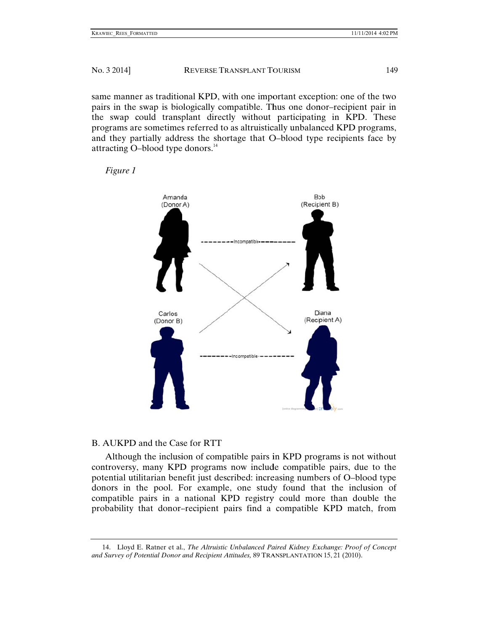same manner as traditional KPD, with one important exception: one of the two pairs in the swap is biologically compatible. Thus one donor-recipient pair in the swap could transplant directly without participating in KPD. These programs are sometimes referred to as altruistically unbalanced KPD programs, and they partially address the shortage that O-blood type recipients face by attracting O-blood type donors.<sup>14</sup>





# B. AUKPD and the Case for RTT

Although the inclusion of compatible pairs in KPD programs is not without controversy , many KPD D programs now includ de compatibl le pairs, due e to the potential utilitarian benefit just described: increasing numbers of O-blood type donors in the pool. For example, one study found that the inclusion of compatible pairs in a national KPD registry could more than double the probability that donor-recipient pairs find a compatible KPD match, from

<sup>14.</sup> Lloyd E. Ratner et al., *The Altruistic Unbalanced Paired Kidney Exchange: Proof of Concept* and Survey of Potential Donor and Recipient Attitudes, 89 TRANSPLANTATION 15, 21 (2010).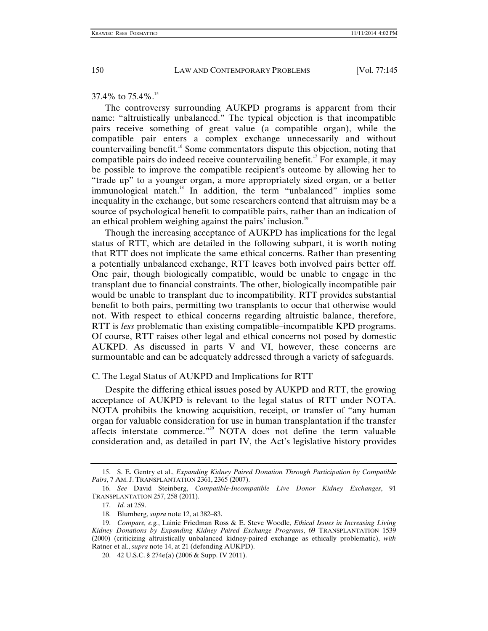37.4% to 75.4%.<sup>15</sup>

The controversy surrounding AUKPD programs is apparent from their name: "altruistically unbalanced." The typical objection is that incompatible pairs receive something of great value (a compatible organ), while the compatible pair enters a complex exchange unnecessarily and without countervailing benefit.<sup>16</sup> Some commentators dispute this objection, noting that compatible pairs do indeed receive countervailing benefit.<sup>17</sup> For example, it may be possible to improve the compatible recipient's outcome by allowing her to "trade up" to a younger organ, a more appropriately sized organ, or a better immunological match.<sup>18</sup> In addition, the term "unbalanced" implies some inequality in the exchange, but some researchers contend that altruism may be a source of psychological benefit to compatible pairs, rather than an indication of an ethical problem weighing against the pairs' inclusion.<sup>19</sup>

Though the increasing acceptance of AUKPD has implications for the legal status of RTT, which are detailed in the following subpart, it is worth noting that RTT does not implicate the same ethical concerns. Rather than presenting a potentially unbalanced exchange, RTT leaves both involved pairs better off. One pair, though biologically compatible, would be unable to engage in the transplant due to financial constraints. The other, biologically incompatible pair would be unable to transplant due to incompatibility. RTT provides substantial benefit to both pairs, permitting two transplants to occur that otherwise would not. With respect to ethical concerns regarding altruistic balance, therefore, RTT is *less* problematic than existing compatible–incompatible KPD programs. Of course, RTT raises other legal and ethical concerns not posed by domestic AUKPD. As discussed in parts V and VI, however, these concerns are surmountable and can be adequately addressed through a variety of safeguards.

C. The Legal Status of AUKPD and Implications for RTT

Despite the differing ethical issues posed by AUKPD and RTT, the growing acceptance of AUKPD is relevant to the legal status of RTT under NOTA. NOTA prohibits the knowing acquisition, receipt, or transfer of "any human organ for valuable consideration for use in human transplantation if the transfer affects interstate commerce."<sup>20</sup> NOTA does not define the term valuable consideration and, as detailed in part IV, the Act's legislative history provides

 <sup>15.</sup> S. E. Gentry et al., *Expanding Kidney Paired Donation Through Participation by Compatible Pairs*, 7 AM. J. TRANSPLANTATION 2361, 2365 (2007).

 <sup>16.</sup> *See* David Steinberg, *Compatible-Incompatible Live Donor Kidney Exchanges*, 91 TRANSPLANTATION 257, 258 (2011).

 <sup>17.</sup> *Id.* at 259.

 <sup>18.</sup> Blumberg, *supra* note 12, at 382–83.

 <sup>19.</sup> *Compare, e.g.*, Lainie Friedman Ross & E. Steve Woodle, *Ethical Issues in Increasing Living Kidney Donations by Expanding Kidney Paired Exchange Programs*, 69 TRANSPLANTATION 1539 (2000) (criticizing altruistically unbalanced kidney-paired exchange as ethically problematic), *with* Ratner et al., *supra* note 14, at 21 (defending AUKPD).

 <sup>20. 42</sup> U.S.C. § 274e(a) (2006 & Supp. IV 2011).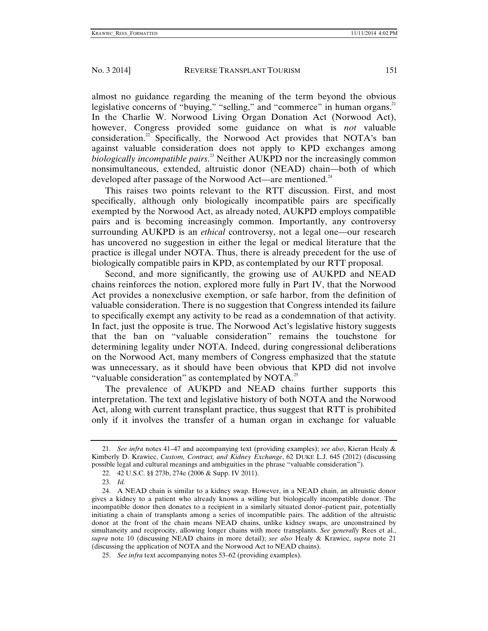almost no guidance regarding the meaning of the term beyond the obvious legislative concerns of "buying," "selling," and "commerce" in human organs.<sup>21</sup> In the Charlie W. Norwood Living Organ Donation Act (Norwood Act), however, Congress provided some guidance on what is *not* valuable consideration.<sup>22</sup> Specifically, the Norwood Act provides that NOTA's ban against valuable consideration does not apply to KPD exchanges among *biologically incompatible pairs*. 23 Neither AUKPD nor the increasingly common nonsimultaneous, extended, altruistic donor (NEAD) chain—both of which developed after passage of the Norwood Act—are mentioned.<sup>24</sup>

This raises two points relevant to the RTT discussion. First, and most specifically, although only biologically incompatible pairs are specifically exempted by the Norwood Act, as already noted, AUKPD employs compatible pairs and is becoming increasingly common. Importantly, any controversy surrounding AUKPD is an *ethical* controversy, not a legal one—our research has uncovered no suggestion in either the legal or medical literature that the practice is illegal under NOTA. Thus, there is already precedent for the use of biologically compatible pairs in KPD, as contemplated by our RTT proposal.

Second, and more significantly, the growing use of AUKPD and NEAD chains reinforces the notion, explored more fully in Part IV, that the Norwood Act provides a nonexclusive exemption, or safe harbor, from the definition of valuable consideration. There is no suggestion that Congress intended its failure to specifically exempt any activity to be read as a condemnation of that activity. In fact, just the opposite is true. The Norwood Act's legislative history suggests that the ban on "valuable consideration" remains the touchstone for determining legality under NOTA. Indeed, during congressional deliberations on the Norwood Act, many members of Congress emphasized that the statute was unnecessary, as it should have been obvious that KPD did not involve "valuable consideration" as contemplated by NOTA.<sup>25</sup>

The prevalence of AUKPD and NEAD chains further supports this interpretation. The text and legislative history of both NOTA and the Norwood Act, along with current transplant practice, thus suggest that RTT is prohibited only if it involves the transfer of a human organ in exchange for valuable

 <sup>21.</sup> *See infra* notes 41–47 and accompanying text (providing examples); *see also*, Kieran Healy & Kimberly D. Krawiec, *Custom, Contract, and Kidney Exchange*, 62 DUKE L.J. 645 (2012) (discussing possible legal and cultural meanings and ambiguities in the phrase "valuable consideration").

 <sup>22. 42</sup> U.S.C. §§ 273b, 274e (2006 & Supp. IV 2011).

 <sup>23.</sup> *Id.*

 <sup>24.</sup> A NEAD chain is similar to a kidney swap. However, in a NEAD chain, an altruistic donor gives a kidney to a patient who already knows a willing but biologically incompatible donor. The incompatible donor then donates to a recipient in a similarly situated donor–patient pair, potentially initiating a chain of transplants among a series of incompatible pairs. The addition of the altruistic donor at the front of the chain means NEAD chains, unlike kidney swaps, are unconstrained by simultaneity and reciprocity, allowing longer chains with more transplants. *See generally* Rees et al., *supra* note 10 (discussing NEAD chains in more detail); *see also* Healy & Krawiec, *supra* note 21 (discussing the application of NOTA and the Norwood Act to NEAD chains).

 <sup>25.</sup> *See infra* text accompanying notes 53–62 (providing examples).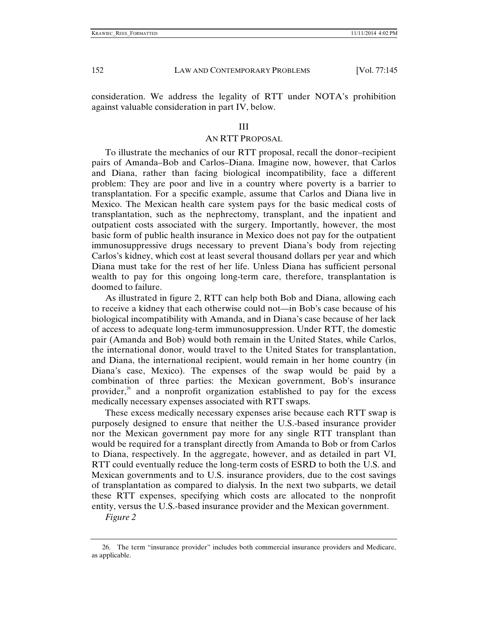consideration. We address the legality of RTT under NOTA's prohibition against valuable consideration in part IV, below.

#### III

#### AN RTT PROPOSAL

To illustrate the mechanics of our RTT proposal, recall the donor–recipient pairs of Amanda–Bob and Carlos–Diana. Imagine now, however, that Carlos and Diana, rather than facing biological incompatibility, face a different problem: They are poor and live in a country where poverty is a barrier to transplantation. For a specific example, assume that Carlos and Diana live in Mexico. The Mexican health care system pays for the basic medical costs of transplantation, such as the nephrectomy, transplant, and the inpatient and outpatient costs associated with the surgery. Importantly, however, the most basic form of public health insurance in Mexico does not pay for the outpatient immunosuppressive drugs necessary to prevent Diana's body from rejecting Carlos's kidney, which cost at least several thousand dollars per year and which Diana must take for the rest of her life. Unless Diana has sufficient personal wealth to pay for this ongoing long-term care, therefore, transplantation is doomed to failure.

As illustrated in figure 2, RTT can help both Bob and Diana, allowing each to receive a kidney that each otherwise could not—in Bob's case because of his biological incompatibility with Amanda, and in Diana's case because of her lack of access to adequate long-term immunosuppression. Under RTT, the domestic pair (Amanda and Bob) would both remain in the United States, while Carlos, the international donor, would travel to the United States for transplantation, and Diana, the international recipient, would remain in her home country (in Diana's case, Mexico). The expenses of the swap would be paid by a combination of three parties: the Mexican government, Bob's insurance provider, $26$  and a nonprofit organization established to pay for the excess medically necessary expenses associated with RTT swaps.

These excess medically necessary expenses arise because each RTT swap is purposely designed to ensure that neither the U.S.-based insurance provider nor the Mexican government pay more for any single RTT transplant than would be required for a transplant directly from Amanda to Bob or from Carlos to Diana, respectively. In the aggregate, however, and as detailed in part VI, RTT could eventually reduce the long-term costs of ESRD to both the U.S. and Mexican governments and to U.S. insurance providers, due to the cost savings of transplantation as compared to dialysis. In the next two subparts, we detail these RTT expenses, specifying which costs are allocated to the nonprofit entity, versus the U.S.-based insurance provider and the Mexican government.

*Figure 2*

 <sup>26.</sup> The term "insurance provider" includes both commercial insurance providers and Medicare, as applicable.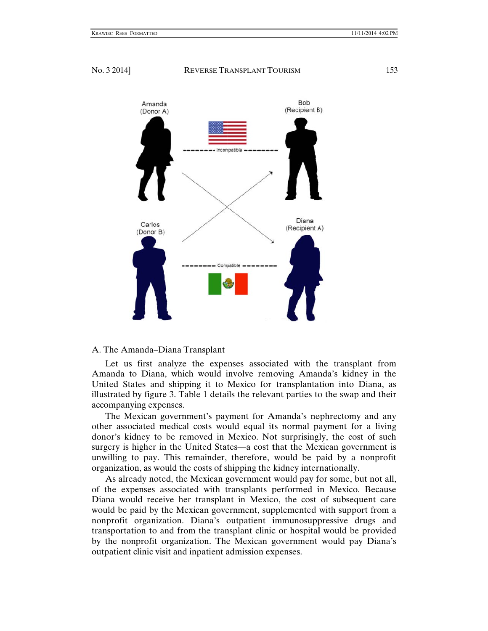

## A. The Amanda–Diana Transplant

Let us first analyze the expenses associated with the transplant from Amanda to Diana, which would involve removing Amanda's kidney in the United States and shipping it to Mexico for transplantation into Diana, as illustrated by figure 3. Table 1 details the relevant parties to the swap and their accompanyi ng expenses .

The Mexican government's payment for Amanda's nephrectomy and any other associated medical costs would equal its normal payment for a living donor's kidney to be removed in Mexico. Not surprisingly, the cost of such surgery is higher in the United States—a cost that the Mexican government is unwilling to pay. This remainder, therefore, would be paid by a nonprofit organization, as would the costs of shipping the kidney internationally.

As already noted, the Mexican government would pay for some, but not all, of the expenses associated with transplants performed in Mexico. Because Diana would receive her transplant in Mexico, the cost of subsequent care would be paid by the Mexican government, supplemented with support from a nonprofit organization. Diana's outpatient immunosuppressive drugs and transportation to and from the transplant clinic or hospital would be provided by the nonprofit organization. The Mexican government would pay Diana's outpatient clinic visit and inpatient admission expenses.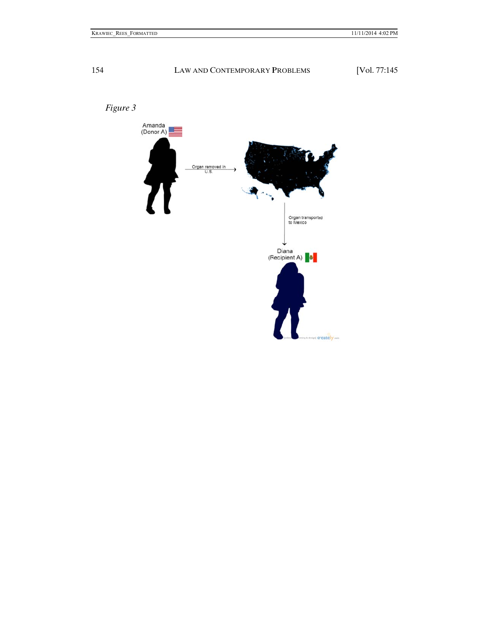

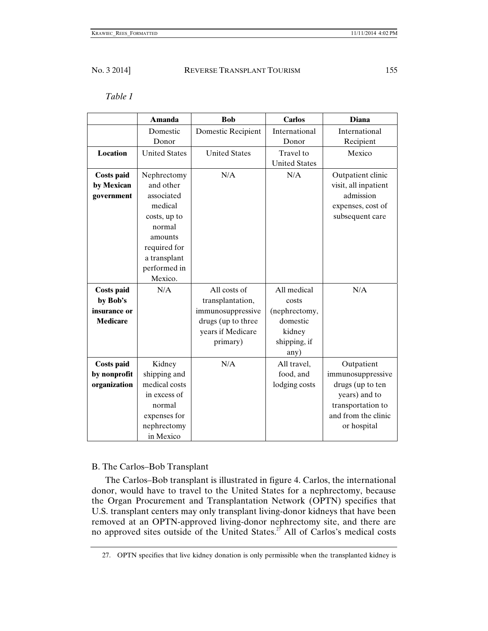# *Table 1*

|                   | <b>Amanda</b>        | <b>Bob</b>           | <b>Carlos</b>        | <b>Diana</b>         |
|-------------------|----------------------|----------------------|----------------------|----------------------|
|                   | Domestic             | Domestic Recipient   | International        | International        |
|                   | Donor                |                      | Donor                | Recipient            |
| <b>Location</b>   | <b>United States</b> | <b>United States</b> | Travel to            | Mexico               |
|                   |                      |                      | <b>United States</b> |                      |
| <b>Costs paid</b> | Nephrectomy          | N/A                  | N/A                  | Outpatient clinic    |
| by Mexican        | and other            |                      |                      | visit, all inpatient |
| government        | associated           |                      |                      | admission            |
|                   | medical              |                      |                      | expenses, cost of    |
|                   | costs, up to         |                      |                      | subsequent care      |
|                   | normal               |                      |                      |                      |
|                   | amounts              |                      |                      |                      |
|                   | required for         |                      |                      |                      |
|                   | a transplant         |                      |                      |                      |
|                   | performed in         |                      |                      |                      |
|                   | Mexico.              |                      |                      |                      |
| <b>Costs paid</b> | N/A                  | All costs of         | All medical          | N/A                  |
| by Bob's          |                      | transplantation,     | costs                |                      |
| insurance or      |                      | immunosuppressive    | (nephrectomy,        |                      |
| <b>Medicare</b>   |                      | drugs (up to three   | domestic             |                      |
|                   |                      | years if Medicare    | kidney               |                      |
|                   |                      | primary)             | shipping, if         |                      |
|                   |                      |                      | any)                 |                      |
| <b>Costs paid</b> | Kidney               | N/A                  | All travel,          | Outpatient           |
| by nonprofit      | shipping and         |                      | food, and            | immunosuppressive    |
| organization      | medical costs        |                      | lodging costs        | drugs (up to ten     |
|                   | in excess of         |                      |                      | years) and to        |
|                   | normal               |                      |                      | transportation to    |
|                   | expenses for         |                      |                      | and from the clinic  |
|                   | nephrectomy          |                      |                      | or hospital          |
|                   | in Mexico            |                      |                      |                      |

# B. The Carlos–Bob Transplant

The Carlos–Bob transplant is illustrated in figure 4. Carlos, the international donor, would have to travel to the United States for a nephrectomy, because the Organ Procurement and Transplantation Network (OPTN) specifies that U.S. transplant centers may only transplant living-donor kidneys that have been removed at an OPTN-approved living-donor nephrectomy site, and there are no approved sites outside of the United States.<sup>27</sup> All of Carlos's medical costs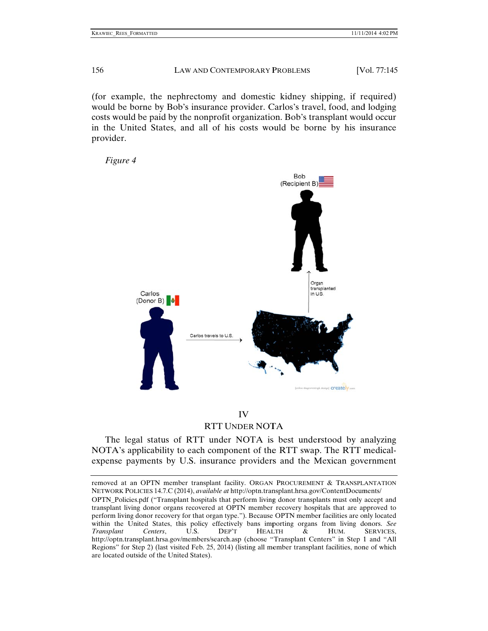(for example, the nephrectomy and domestic kidney shipping, if required) would be borne by Bob's insurance provider. Carlos's travel, food, and lodging costs would be paid by the nonprofit organization. Bob's transplant would occur in the United States, and all of his costs would be borne by his insurance provider.

*Figure 4*



# RTT UNDER NOTA IV

The legal status of RTT under NOTA is best understood by analyzing NOTA's applicability to each component of the RTT swap. The RTT medicalexpense payments by U.S. insurance providers and the Mexican government

removed at an OPTN member transplant facility. ORGAN PROCUREMENT & TRANSPLANTATION NETWORK POLICIES 14.7.C (2014), *available at* http://optn.transplant.hrsa.gov/ContentDocuments/

OPTN\_Policies.pdf ("Transplant hospitals that perform living donor transplants must only accept and transplant living donor organs recovered at OPTN member recovery hospitals that are approved to perform living donor recovery for that organ type."). Because OPTN member facilities are only located within the United States, this policy effectively bans importing organs from living donors. See *Transplant*  http://optn.transplant.hrsa.gov/members/search.asp (choose "Transplant Centers" in Step 1 and "All Regions" for Step 2) (last visited Feb. 25, 2014) (listing all member transplant facilities, none of which are located outside of the United States). *Centers*, U.S. DEP'T EP'T HEAL LTH & HUM. SERVICES,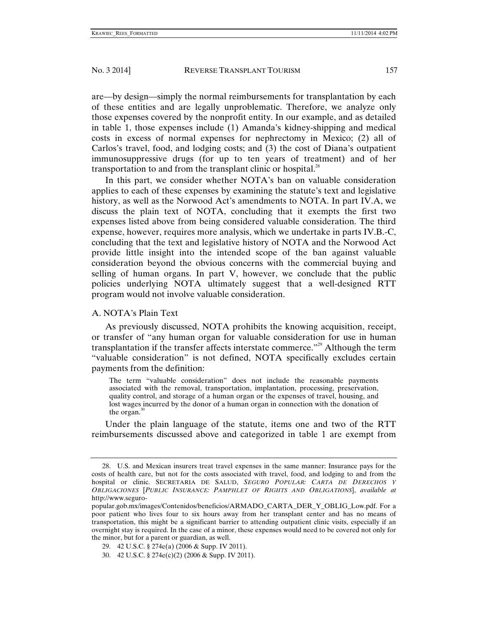are—by design—simply the normal reimbursements for transplantation by each of these entities and are legally unproblematic. Therefore, we analyze only those expenses covered by the nonprofit entity. In our example, and as detailed in table 1, those expenses include (1) Amanda's kidney-shipping and medical costs in excess of normal expenses for nephrectomy in Mexico; (2) all of Carlos's travel, food, and lodging costs; and (3) the cost of Diana's outpatient immunosuppressive drugs (for up to ten years of treatment) and of her transportation to and from the transplant clinic or hospital. $^{28}$ 

In this part, we consider whether NOTA's ban on valuable consideration applies to each of these expenses by examining the statute's text and legislative history, as well as the Norwood Act's amendments to NOTA. In part IV.A, we discuss the plain text of NOTA, concluding that it exempts the first two expenses listed above from being considered valuable consideration. The third expense, however, requires more analysis, which we undertake in parts IV.B.-C, concluding that the text and legislative history of NOTA and the Norwood Act provide little insight into the intended scope of the ban against valuable consideration beyond the obvious concerns with the commercial buying and selling of human organs. In part V, however, we conclude that the public policies underlying NOTA ultimately suggest that a well-designed RTT program would not involve valuable consideration.

#### A. NOTA's Plain Text

As previously discussed, NOTA prohibits the knowing acquisition, receipt, or transfer of "any human organ for valuable consideration for use in human transplantation if the transfer affects interstate commerce."29 Although the term "valuable consideration" is not defined, NOTA specifically excludes certain payments from the definition:

The term "valuable consideration" does not include the reasonable payments associated with the removal, transportation, implantation, processing, preservation, quality control, and storage of a human organ or the expenses of travel, housing, and lost wages incurred by the donor of a human organ in connection with the donation of the organ. $\delta$ 

Under the plain language of the statute, items one and two of the RTT reimbursements discussed above and categorized in table 1 are exempt from

 <sup>28.</sup> U.S. and Mexican insurers treat travel expenses in the same manner: Insurance pays for the costs of health care, but not for the costs associated with travel, food, and lodging to and from the hospital or clinic. SECRETARIA DE SALUD, *SEGURO POPULAR: CARTA DE DERECHOS Y OBLIGACIONES* [*PUBLIC INSURANCE: PAMPHLET OF RIGHTS AND OBLIGATIONS*], *available at* http://www.seguro-

popular.gob.mx/images/Contenidos/beneficios/ARMADO\_CARTA\_DER\_Y\_OBLIG\_Low.pdf. For a poor patient who lives four to six hours away from her transplant center and has no means of transportation, this might be a significant barrier to attending outpatient clinic visits, especially if an overnight stay is required. In the case of a minor, these expenses would need to be covered not only for the minor, but for a parent or guardian, as well.

 <sup>29. 42</sup> U.S.C. § 274e(a) (2006 & Supp. IV 2011).

 <sup>30. 42</sup> U.S.C. § 274e(c)(2) (2006 & Supp. IV 2011).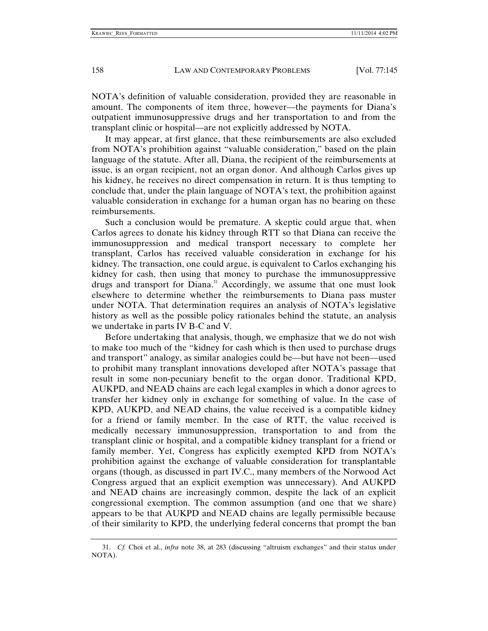NOTA's definition of valuable consideration, provided they are reasonable in amount. The components of item three, however—the payments for Diana's outpatient immunosuppressive drugs and her transportation to and from the transplant clinic or hospital—are not explicitly addressed by NOTA.

It may appear, at first glance, that these reimbursements are also excluded from NOTA's prohibition against "valuable consideration," based on the plain language of the statute. After all, Diana, the recipient of the reimbursements at issue, is an organ recipient, not an organ donor. And although Carlos gives up his kidney, he receives no direct compensation in return. It is thus tempting to conclude that, under the plain language of NOTA's text, the prohibition against valuable consideration in exchange for a human organ has no bearing on these reimbursements.

Such a conclusion would be premature. A skeptic could argue that, when Carlos agrees to donate his kidney through RTT so that Diana can receive the immunosuppression and medical transport necessary to complete her transplant, Carlos has received valuable consideration in exchange for his kidney. The transaction, one could argue, is equivalent to Carlos exchanging his kidney for cash, then using that money to purchase the immunosuppressive drugs and transport for Diana.<sup>31</sup> Accordingly, we assume that one must look elsewhere to determine whether the reimbursements to Diana pass muster under NOTA. That determination requires an analysis of NOTA's legislative history as well as the possible policy rationales behind the statute, an analysis we undertake in parts IV B-C and V.

Before undertaking that analysis, though, we emphasize that we do not wish to make too much of the "kidney for cash which is then used to purchase drugs and transport" analogy, as similar analogies could be—but have not been—used to prohibit many transplant innovations developed after NOTA's passage that result in some non-pecuniary benefit to the organ donor. Traditional KPD, AUKPD, and NEAD chains are each legal examples in which a donor agrees to transfer her kidney only in exchange for something of value. In the case of KPD, AUKPD, and NEAD chains, the value received is a compatible kidney for a friend or family member. In the case of RTT, the value received is medically necessary immunosuppression, transportation to and from the transplant clinic or hospital, and a compatible kidney transplant for a friend or family member. Yet, Congress has explicitly exempted KPD from NOTA's prohibition against the exchange of valuable consideration for transplantable organs (though, as discussed in part IV.C., many members of the Norwood Act Congress argued that an explicit exemption was unnecessary). And AUKPD and NEAD chains are increasingly common, despite the lack of an explicit congressional exemption. The common assumption (and one that we share) appears to be that AUKPD and NEAD chains are legally permissible because of their similarity to KPD, the underlying federal concerns that prompt the ban

 <sup>31.</sup> *Cf.* Choi et al., *infra* note 38, at 283 (discussing "altruism exchanges" and their status under NOTA).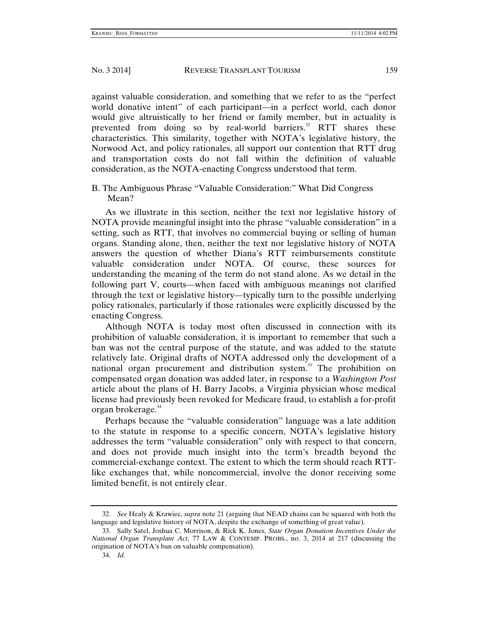against valuable consideration, and something that we refer to as the "perfect world donative intent" of each participant—in a perfect world, each donor would give altruistically to her friend or family member, but in actuality is prevented from doing so by real-world barriers.<sup>32</sup> RTT shares these characteristics. This similarity, together with NOTA's legislative history, the Norwood Act, and policy rationales, all support our contention that RTT drug and transportation costs do not fall within the definition of valuable consideration, as the NOTA-enacting Congress understood that term.

# B. The Ambiguous Phrase "Valuable Consideration:" What Did Congress Mean?

As we illustrate in this section, neither the text nor legislative history of NOTA provide meaningful insight into the phrase "valuable consideration" in a setting, such as RTT, that involves no commercial buying or selling of human organs. Standing alone, then, neither the text nor legislative history of NOTA answers the question of whether Diana's RTT reimbursements constitute valuable consideration under NOTA. Of course, these sources for understanding the meaning of the term do not stand alone. As we detail in the following part V, courts—when faced with ambiguous meanings not clarified through the text or legislative history—typically turn to the possible underlying policy rationales, particularly if those rationales were explicitly discussed by the enacting Congress.

Although NOTA is today most often discussed in connection with its prohibition of valuable consideration, it is important to remember that such a ban was not the central purpose of the statute, and was added to the statute relatively late. Original drafts of NOTA addressed only the development of a national organ procurement and distribution system.<sup>33</sup> The prohibition on compensated organ donation was added later, in response to a *Washington Post* article about the plans of H. Barry Jacobs, a Virginia physician whose medical license had previously been revoked for Medicare fraud, to establish a for-profit organ brokerage.<sup>34</sup>

Perhaps because the "valuable consideration" language was a late addition to the statute in response to a specific concern, NOTA's legislative history addresses the term "valuable consideration" only with respect to that concern, and does not provide much insight into the term's breadth beyond the commercial-exchange context. The extent to which the term should reach RTTlike exchanges that, while noncommercial, involve the donor receiving some limited benefit, is not entirely clear.

 <sup>32.</sup> *See* Healy & Krawiec, *supra* note 21 (arguing that NEAD chains can be squared with both the language and legislative history of NOTA, despite the exchange of something of great value).

 <sup>33.</sup> Sally Satel, Joshua C. Morrison, & Rick K. Jones, *State Organ Donation Incentives Under the National Organ Transplant Act*, 77 LAW & CONTEMP. PROBS., no. 3, 2014 at 217 (discussing the origination of NOTA's ban on valuable compensation).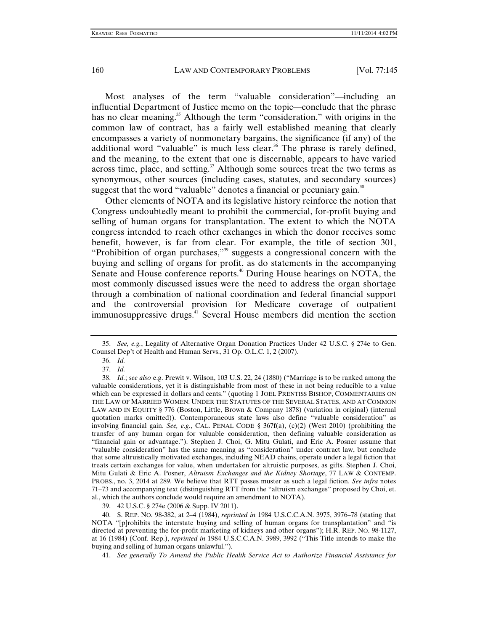Most analyses of the term "valuable consideration"—including an influential Department of Justice memo on the topic—conclude that the phrase has no clear meaning.<sup>35</sup> Although the term "consideration," with origins in the common law of contract, has a fairly well established meaning that clearly encompasses a variety of nonmonetary bargains, the significance (if any) of the additional word "valuable" is much less clear.<sup>36</sup> The phrase is rarely defined, and the meaning, to the extent that one is discernable, appears to have varied across time, place, and setting. $37$  Although some sources treat the two terms as synonymous, other sources (including cases, statutes, and secondary sources) suggest that the word "valuable" denotes a financial or pecuniary gain. $38$ 

Other elements of NOTA and its legislative history reinforce the notion that Congress undoubtedly meant to prohibit the commercial, for-profit buying and selling of human organs for transplantation. The extent to which the NOTA congress intended to reach other exchanges in which the donor receives some benefit, however, is far from clear. For example, the title of section 301, "Prohibition of organ purchases,"<sup>39</sup> suggests a congressional concern with the buying and selling of organs for profit, as do statements in the accompanying Senate and House conference reports.<sup>40</sup> During House hearings on NOTA, the most commonly discussed issues were the need to address the organ shortage through a combination of national coordination and federal financial support and the controversial provision for Medicare coverage of outpatient immunosuppressive drugs.<sup>41</sup> Several House members did mention the section

41. *See generally To Amend the Public Health Service Act to Authorize Financial Assistance for* 

 <sup>35.</sup> *See, e.g.*, Legality of Alternative Organ Donation Practices Under 42 U.S.C. § 274e to Gen. Counsel Dep't of Health and Human Servs., 31 Op. O.L.C. 1, 2 (2007).

 <sup>36.</sup> *Id.*

 <sup>37.</sup> *Id.*

 <sup>38.</sup> *Id.*; *see also* e.g. Prewit v. Wilson, 103 U.S. 22, 24 (1880) ("Marriage is to be ranked among the valuable considerations, yet it is distinguishable from most of these in not being reducible to a value which can be expressed in dollars and cents." (quoting 1 JOEL PRENTISS BISHOP, COMMENTARIES ON THE LAW OF MARRIED WOMEN: UNDER THE STATUTES OF THE SEVERAL STATES, AND AT COMMON LAW AND IN EQUITY § 776 (Boston, Little, Brown & Company 1878) (variation in original) (internal quotation marks omitted)). Contemporaneous state laws also define "valuable consideration" as involving financial gain. *See, e.g.*, CAL. PENAL CODE § 367f(a), (c)(2) (West 2010) (prohibiting the transfer of any human organ for valuable consideration, then defining valuable consideration as "financial gain or advantage."). Stephen J. Choi, G. Mitu Gulati, and Eric A. Posner assume that "valuable consideration" has the same meaning as "consideration" under contract law, but conclude that some altruistically motivated exchanges, including NEAD chains, operate under a legal fiction that treats certain exchanges for value, when undertaken for altruistic purposes, as gifts. Stephen J. Choi, Mitu Gulati & Eric A. Posner, *Altruism Exchanges and the Kidney Shortage*, 77 LAW & CONTEMP. PROBS., no. 3, 2014 at 289. We believe that RTT passes muster as such a legal fiction. *See infra* notes 71–73 and accompanying text (distinguishing RTT from the "altruism exchanges" proposed by Choi, et. al., which the authors conclude would require an amendment to NOTA).

 <sup>39. 42</sup> U.S.C. § 274e (2006 & Supp. IV 2011).

 <sup>40.</sup> S. REP. NO. 98-382, at 2–4 (1984), *reprinted in* 1984 U.S.C.C.A.N. 3975, 3976–78 (stating that NOTA "[p]rohibits the interstate buying and selling of human organs for transplantation" and "is directed at preventing the for-profit marketing of kidneys and other organs"); H.R. REP. NO. 98-1127, at 16 (1984) (Conf. Rep.), *reprinted in* 1984 U.S.C.C.A.N. 3989, 3992 ("This Title intends to make the buying and selling of human organs unlawful.").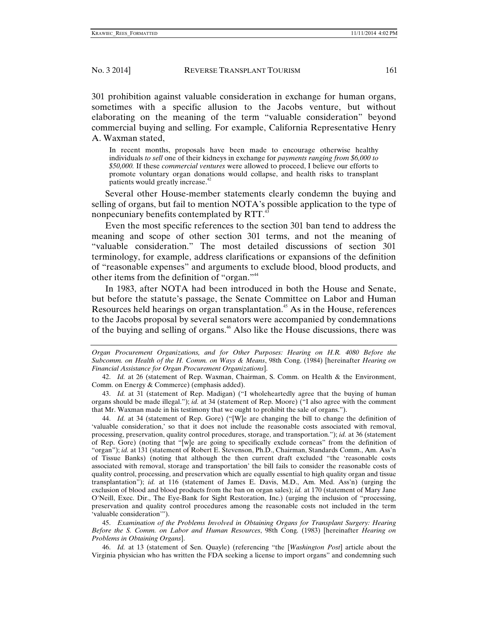301 prohibition against valuable consideration in exchange for human organs, sometimes with a specific allusion to the Jacobs venture, but without elaborating on the meaning of the term "valuable consideration" beyond commercial buying and selling. For example, California Representative Henry A. Waxman stated,

In recent months, proposals have been made to encourage otherwise healthy individuals *to sell* one of their kidneys in exchange for *payments ranging from \$6,000 to \$50,000.* If these *commercial ventures* were allowed to proceed, I believe our efforts to promote voluntary organ donations would collapse, and health risks to transplant patients would greatly increase.<sup>42</sup>

Several other House-member statements clearly condemn the buying and selling of organs, but fail to mention NOTA's possible application to the type of nonpecuniary benefits contemplated by RTT.<sup>43</sup>

Even the most specific references to the section 301 ban tend to address the meaning and scope of other section 301 terms, and not the meaning of "valuable consideration." The most detailed discussions of section 301 terminology, for example, address clarifications or expansions of the definition of "reasonable expenses" and arguments to exclude blood, blood products, and other items from the definition of "organ."44

In 1983, after NOTA had been introduced in both the House and Senate, but before the statute's passage, the Senate Committee on Labor and Human Resources held hearings on organ transplantation.<sup>45</sup> As in the House, references to the Jacobs proposal by several senators were accompanied by condemnations of the buying and selling of organs.<sup>46</sup> Also like the House discussions, there was

*Organ Procurement Organizations, and for Other Purposes: Hearing on H.R. 4080 Before the Subcomm. on Health of the H. Comm. on Ways & Means*, 98th Cong. (1984) [hereinafter *Hearing on Financial Assistance for Organ Procurement Organizations*].

 42. *Id.* at 26 (statement of Rep. Waxman, Chairman, S. Comm. on Health & the Environment, Comm. on Energy & Commerce) (emphasis added).

 43. *Id.* at 31 (statement of Rep. Madigan) ("I wholeheartedly agree that the buying of human organs should be made illegal."); *id.* at 34 (statement of Rep. Moore) ("I also agree with the comment that Mr. Waxman made in his testimony that we ought to prohibit the sale of organs.").

 44. *Id.* at 34 (statement of Rep. Gore) ("[W]e are changing the bill to change the definition of 'valuable consideration,' so that it does not include the reasonable costs associated with removal, processing, preservation, quality control procedures, storage, and transportation."); *id.* at 36 (statement of Rep. Gore) (noting that "[w]e are going to specifically exclude corneas" from the definition of "organ"); *id.* at 131 (statement of Robert E. Stevenson, Ph.D., Chairman, Standards Comm., Am. Ass'n of Tissue Banks) (noting that although the then current draft excluded "the 'reasonable costs associated with removal, storage and transportation' the bill fails to consider the reasonable costs of quality control, processing, and preservation which are equally essential to high quality organ and tissue transplantation"); *id.* at 116 (statement of James E. Davis, M.D., Am. Med. Ass'n) (urging the exclusion of blood and blood products from the ban on organ sales); *id.* at 170 (statement of Mary Jane O'Neill, Exec. Dir., The Eye-Bank for Sight Restoration, Inc.) (urging the inclusion of "processing, preservation and quality control procedures among the reasonable costs not included in the term 'valuable consideration'").

 45. *Examination of the Problems Involved in Obtaining Organs for Transplant Surgery: Hearing Before the S. Comm. on Labor and Human Resources*, 98th Cong. (1983) [hereinafter *Hearing on Problems in Obtaining Organs*].

 46. *Id.* at 13 (statement of Sen. Quayle) (referencing "the [*Washington Post*] article about the Virginia physician who has written the FDA seeking a license to import organs" and condemning such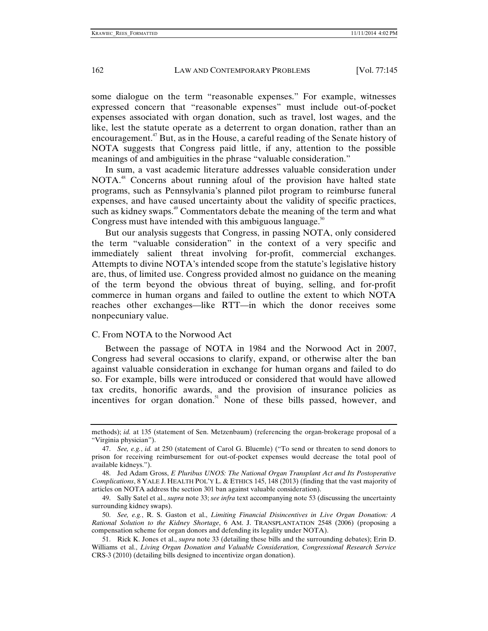some dialogue on the term "reasonable expenses." For example, witnesses expressed concern that "reasonable expenses" must include out-of-pocket expenses associated with organ donation, such as travel, lost wages, and the like, lest the statute operate as a deterrent to organ donation, rather than an encouragement.<sup>47</sup> But, as in the House, a careful reading of the Senate history of NOTA suggests that Congress paid little, if any, attention to the possible meanings of and ambiguities in the phrase "valuable consideration."

In sum, a vast academic literature addresses valuable consideration under NOTA.<sup>48</sup> Concerns about running afoul of the provision have halted state programs, such as Pennsylvania's planned pilot program to reimburse funeral expenses, and have caused uncertainty about the validity of specific practices, such as kidney swaps.<sup>49</sup> Commentators debate the meaning of the term and what Congress must have intended with this ambiguous language.<sup>50</sup>

But our analysis suggests that Congress, in passing NOTA, only considered the term "valuable consideration" in the context of a very specific and immediately salient threat involving for-profit, commercial exchanges. Attempts to divine NOTA's intended scope from the statute's legislative history are, thus, of limited use. Congress provided almost no guidance on the meaning of the term beyond the obvious threat of buying, selling, and for-profit commerce in human organs and failed to outline the extent to which NOTA reaches other exchanges—like RTT—in which the donor receives some nonpecuniary value.

### C. From NOTA to the Norwood Act

Between the passage of NOTA in 1984 and the Norwood Act in 2007, Congress had several occasions to clarify, expand, or otherwise alter the ban against valuable consideration in exchange for human organs and failed to do so. For example, bills were introduced or considered that would have allowed tax credits, honorific awards, and the provision of insurance policies as incentives for organ donation.<sup>51</sup> None of these bills passed, however, and

methods); *id.* at 135 (statement of Sen. Metzenbaum) (referencing the organ-brokerage proposal of a "Virginia physician").

 <sup>47.</sup> *See, e.g.*, *id.* at 250 (statement of Carol G. Bluemle) ("To send or threaten to send donors to prison for receiving reimbursement for out-of-pocket expenses would decrease the total pool of available kidneys.").

 <sup>48.</sup> Jed Adam Gross, *E Pluribus UNOS: The National Organ Transplant Act and Its Postoperative Complications*, 8 YALE J. HEALTH POL'Y L. & ETHICS 145, 148 (2013) (finding that the vast majority of articles on NOTA address the section 301 ban against valuable consideration).

 <sup>49.</sup> Sally Satel et al., *supra* note 33; *see infra* text accompanying note 53 (discussing the uncertainty surrounding kidney swaps).

 <sup>50.</sup> *See, e.g.*, R. S. Gaston et al., *Limiting Financial Disincentives in Live Organ Donation: A Rational Solution to the Kidney Shortage*, 6 AM. J. TRANSPLANTATION 2548 (2006) (proposing a compensation scheme for organ donors and defending its legality under NOTA).

 <sup>51.</sup> Rick K. Jones et al., *supra* note 33 (detailing these bills and the surrounding debates); Erin D. Williams et al., *Living Organ Donation and Valuable Consideration, Congressional Research Service* CRS-3 (2010) (detailing bills designed to incentivize organ donation).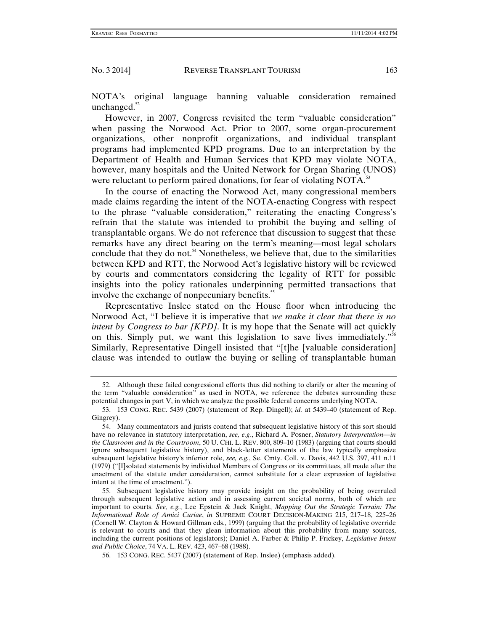NOTA's original language banning valuable consideration remained unchanged. $52$ 

However, in 2007, Congress revisited the term "valuable consideration" when passing the Norwood Act. Prior to 2007, some organ-procurement organizations, other nonprofit organizations, and individual transplant programs had implemented KPD programs. Due to an interpretation by the Department of Health and Human Services that KPD may violate NOTA, however, many hospitals and the United Network for Organ Sharing (UNOS) were reluctant to perform paired donations, for fear of violating NOTA.<sup>53</sup>

In the course of enacting the Norwood Act, many congressional members made claims regarding the intent of the NOTA-enacting Congress with respect to the phrase "valuable consideration," reiterating the enacting Congress's refrain that the statute was intended to prohibit the buying and selling of transplantable organs. We do not reference that discussion to suggest that these remarks have any direct bearing on the term's meaning—most legal scholars conclude that they do not.<sup>54</sup> Nonetheless, we believe that, due to the similarities between KPD and RTT, the Norwood Act's legislative history will be reviewed by courts and commentators considering the legality of RTT for possible insights into the policy rationales underpinning permitted transactions that involve the exchange of nonpecuniary benefits.<sup>55</sup>

Representative Inslee stated on the House floor when introducing the Norwood Act, "I believe it is imperative that *we make it clear that there is no intent by Congress to bar [KPD]*. It is my hope that the Senate will act quickly on this. Simply put, we want this legislation to save lives immediately."<sup>56</sup> Similarly, Representative Dingell insisted that "[t]he [valuable consideration] clause was intended to outlaw the buying or selling of transplantable human

 <sup>52.</sup> Although these failed congressional efforts thus did nothing to clarify or alter the meaning of the term "valuable consideration" as used in NOTA, we reference the debates surrounding these potential changes in part V, in which we analyze the possible federal concerns underlying NOTA.

 <sup>53. 153</sup> CONG. REC. 5439 (2007) (statement of Rep. Dingell); *id.* at 5439–40 (statement of Rep. Gingrey).

 <sup>54.</sup> Many commentators and jurists contend that subsequent legislative history of this sort should have no relevance in statutory interpretation, *see, e.g.*, Richard A. Posner, *Statutory Interpretation—in the Classroom and in the Courtroom*, 50 U. CHI. L. REV. 800, 809–10 (1983) (arguing that courts should ignore subsequent legislative history), and black-letter statements of the law typically emphasize subsequent legislative history's inferior role, *see, e.g.*, Se. Cmty. Coll. v. Davis, 442 U.S. 397, 411 n.11 (1979) ("[I]solated statements by individual Members of Congress or its committees, all made after the enactment of the statute under consideration, cannot substitute for a clear expression of legislative intent at the time of enactment.").

 <sup>55.</sup> Subsequent legislative history may provide insight on the probability of being overruled through subsequent legislative action and in assessing current societal norms, both of which are important to courts. *See, e.g.*, Lee Epstein & Jack Knight, *Mapping Out the Strategic Terrain: The Informational Role of Amici Curiae*, *in* SUPREME COURT DECISION-MAKING 215, 217–18, 225–26 (Cornell W. Clayton & Howard Gillman eds., 1999) (arguing that the probability of legislative override is relevant to courts and that they glean information about this probability from many sources, including the current positions of legislators); Daniel A. Farber & Philip P. Frickey, *Legislative Intent and Public Choice*, 74 VA. L. REV. 423, 467–68 (1988).

 <sup>56. 153</sup> CONG. REC. 5437 (2007) (statement of Rep. Inslee) (emphasis added).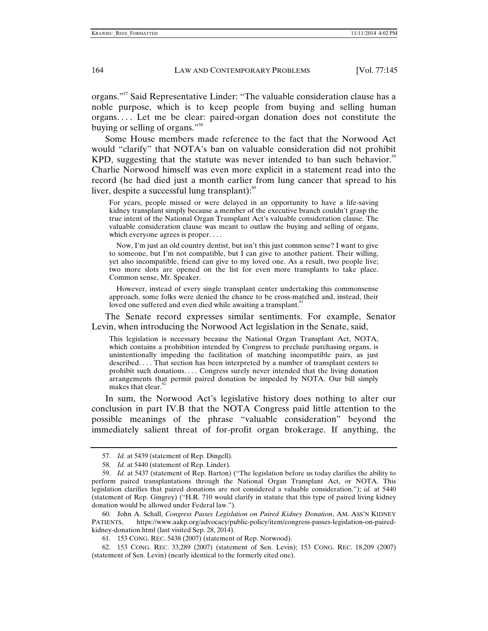organs."57 Said Representative Linder: "The valuable consideration clause has a noble purpose, which is to keep people from buying and selling human organs. . . . Let me be clear: paired-organ donation does not constitute the buying or selling of organs."<sup>58</sup>

Some House members made reference to the fact that the Norwood Act would "clarify" that NOTA's ban on valuable consideration did not prohibit KPD, suggesting that the statute was never intended to ban such behavior.<sup>59</sup> Charlie Norwood himself was even more explicit in a statement read into the record (he had died just a month earlier from lung cancer that spread to his liver, despite a successful lung transplant): $60$ 

For years, people missed or were delayed in an opportunity to have a life-saving kidney transplant simply because a member of the executive branch couldn't grasp the true intent of the National Organ Transplant Act's valuable consideration clause. The valuable consideration clause was meant to outlaw the buying and selling of organs, which everyone agrees is proper. . . .

 Now, I'm just an old country dentist, but isn't this just common sense? I want to give to someone, but I'm not compatible, but I can give to another patient. Their willing, yet also incompatible, friend can give to my loved one. As a result, two people live; two more slots are opened on the list for even more transplants to take place. Common sense, Mr. Speaker.

 However, instead of every single transplant center undertaking this commonsense approach, some folks were denied the chance to be cross-matched and, instead, their loved one suffered and even died while awaiting a transplant.<sup>61</sup>

The Senate record expresses similar sentiments. For example, Senator Levin, when introducing the Norwood Act legislation in the Senate, said,

This legislation is necessary because the National Organ Transplant Act, NOTA, which contains a prohibition intended by Congress to preclude purchasing organs, is unintentionally impeding the facilitation of matching incompatible pairs, as just described.... That section has been interpreted by a number of transplant centers to prohibit such donations. . . . Congress surely never intended that the living donation arrangements that permit paired donation be impeded by NOTA. Our bill simply makes that clear. $\degree$ 

In sum, the Norwood Act's legislative history does nothing to alter our conclusion in part IV.B that the NOTA Congress paid little attention to the possible meanings of the phrase "valuable consideration" beyond the immediately salient threat of for-profit organ brokerage. If anything, the

 <sup>57.</sup> *Id.* at 5439 (statement of Rep. Dingell).

 <sup>58.</sup> *Id.* at 5440 (statement of Rep. Linder).

 <sup>59.</sup> *Id.* at 5437 (statement of Rep. Barton) ("The legislation before us today clarifies the ability to perform paired transplantations through the National Organ Transplant Act, or NOTA. This legislation clarifies that paired donations are not considered a valuable consideration."); *id.* at 5440 (statement of Rep. Gingrey) ("H.R. 710 would clarify in statute that this type of paired living kidney donation would be allowed under Federal law.").

 <sup>60.</sup> John A. Schall, *Congress Passes Legislation on Paired Kidney Donation*, AM. ASS'N KIDNEY PATIENTS, https://www.aakp.org/advocacy/public-policy/item/congress-passes-legislation-on-pairedkidney-donation.html (last visited Sep. 28, 2014).

 <sup>61. 153</sup> CONG. REC. 5438 (2007) (statement of Rep. Norwood).

 <sup>62. 153</sup> CONG. REC. 33,289 (2007) (statement of Sen. Levin); 153 CONG. REC. 18,209 (2007) (statement of Sen. Levin) (nearly identical to the formerly cited one).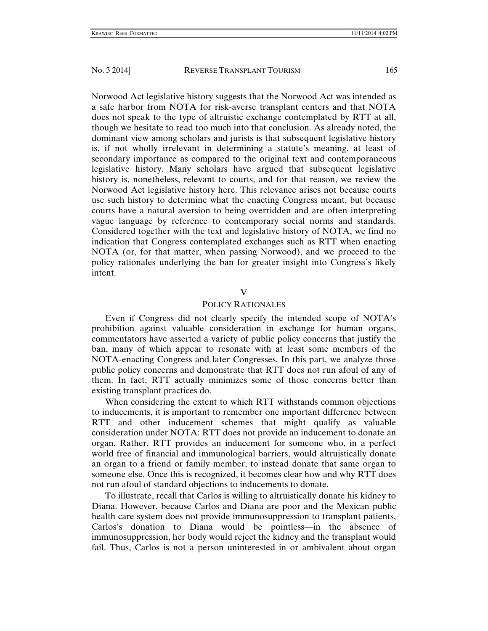Norwood Act legislative history suggests that the Norwood Act was intended as a safe harbor from NOTA for risk-averse transplant centers and that NOTA does not speak to the type of altruistic exchange contemplated by RTT at all, though we hesitate to read too much into that conclusion. As already noted, the dominant view among scholars and jurists is that subsequent legislative history is, if not wholly irrelevant in determining a statute's meaning, at least of secondary importance as compared to the original text and contemporaneous legislative history. Many scholars have argued that subsequent legislative history is, nonetheless, relevant to courts, and for that reason, we review the Norwood Act legislative history here. This relevance arises not because courts use such history to determine what the enacting Congress meant, but because courts have a natural aversion to being overridden and are often interpreting vague language by reference to contemporary social norms and standards. Considered together with the text and legislative history of NOTA, we find no indication that Congress contemplated exchanges such as RTT when enacting NOTA (or, for that matter, when passing Norwood), and we proceed to the policy rationales underlying the ban for greater insight into Congress's likely intent.

#### V

#### POLICY RATIONALES

Even if Congress did not clearly specify the intended scope of NOTA's prohibition against valuable consideration in exchange for human organs, commentators have asserted a variety of public policy concerns that justify the ban, many of which appear to resonate with at least some members of the NOTA-enacting Congress and later Congresses. In this part, we analyze those public policy concerns and demonstrate that RTT does not run afoul of any of them. In fact, RTT actually minimizes some of those concerns better than existing transplant practices do.

When considering the extent to which RTT withstands common objections to inducements, it is important to remember one important difference between RTT and other inducement schemes that might qualify as valuable consideration under NOTA: RTT does not provide an inducement to donate an organ. Rather, RTT provides an inducement for someone who, in a perfect world free of financial and immunological barriers, would altruistically donate an organ to a friend or family member, to instead donate that same organ to someone else. Once this is recognized, it becomes clear how and why RTT does not run afoul of standard objections to inducements to donate.

To illustrate, recall that Carlos is willing to altruistically donate his kidney to Diana. However, because Carlos and Diana are poor and the Mexican public health care system does not provide immunosuppression to transplant patients, Carlos's donation to Diana would be pointless—in the absence of immunosuppression, her body would reject the kidney and the transplant would fail. Thus, Carlos is not a person uninterested in or ambivalent about organ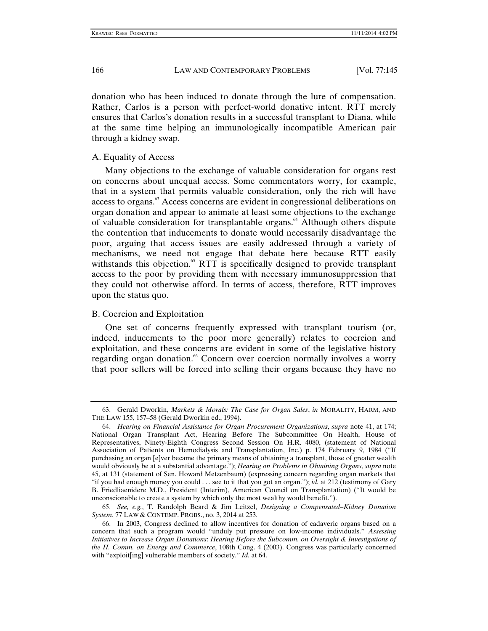donation who has been induced to donate through the lure of compensation. Rather, Carlos is a person with perfect-world donative intent. RTT merely ensures that Carlos's donation results in a successful transplant to Diana, while at the same time helping an immunologically incompatible American pair through a kidney swap.

#### A. Equality of Access

Many objections to the exchange of valuable consideration for organs rest on concerns about unequal access. Some commentators worry, for example, that in a system that permits valuable consideration, only the rich will have access to organs.<sup>63</sup> Access concerns are evident in congressional deliberations on organ donation and appear to animate at least some objections to the exchange of valuable consideration for transplantable organs.<sup>64</sup> Although others dispute the contention that inducements to donate would necessarily disadvantage the poor, arguing that access issues are easily addressed through a variety of mechanisms, we need not engage that debate here because RTT easily withstands this objection. $65$  RTT is specifically designed to provide transplant access to the poor by providing them with necessary immunosuppression that they could not otherwise afford. In terms of access, therefore, RTT improves upon the status quo.

#### B. Coercion and Exploitation

One set of concerns frequently expressed with transplant tourism (or, indeed, inducements to the poor more generally) relates to coercion and exploitation, and these concerns are evident in some of the legislative history regarding organ donation.<sup>66</sup> Concern over coercion normally involves a worry that poor sellers will be forced into selling their organs because they have no

 <sup>63.</sup> Gerald Dworkin, *Markets & Morals: The Case for Organ Sales*, *in* MORALITY, HARM, AND THE LAW 155, 157–58 (Gerald Dworkin ed., 1994).

 <sup>64.</sup> *Hearing on Financial Assistance for Organ Procurement Organizations*, *supra* note 41, at 174; National Organ Transplant Act, Hearing Before The Subcommittee On Health, House of Representatives, Ninety-Eighth Congress Second Session On H.R. 4080, (statement of National Association of Patients on Hemodialysis and Transplantation, Inc.) p. 174 February 9, 1984 ("If purchasing an organ [e]ver became the primary means of obtaining a transplant, those of greater wealth would obviously be at a substantial advantage."); *Hearing on Problems in Obtaining Organs*, *supra* note 45, at 131 (statement of Sen. Howard Metzenbaum) (expressing concern regarding organ markets that "if you had enough money you could . . . see to it that you got an organ."); *id.* at 212 (testimony of Gary B. Friedliaenidere M.D., President (Interim), American Council on Transplantation) ("It would be unconscionable to create a system by which only the most wealthy would benefit.").

 <sup>65.</sup> *See, e.g.*, T. Randolph Beard & Jim Leitzel, *Designing a Compensated–Kidney Donation System*, 77 LAW & CONTEMP. PROBS., no. 3, 2014 at 253.

 <sup>66.</sup> In 2003, Congress declined to allow incentives for donation of cadaveric organs based on a concern that such a program would "unduly put pressure on low-income individuals." *Assessing Initiatives to Increase Organ Donations*: *Hearing Before the Subcomm. on Oversight & Investigations of the H. Comm. on Energy and Commerce*, 108th Cong. 4 (2003). Congress was particularly concerned with "exploit[ing] vulnerable members of society." *Id.* at 64.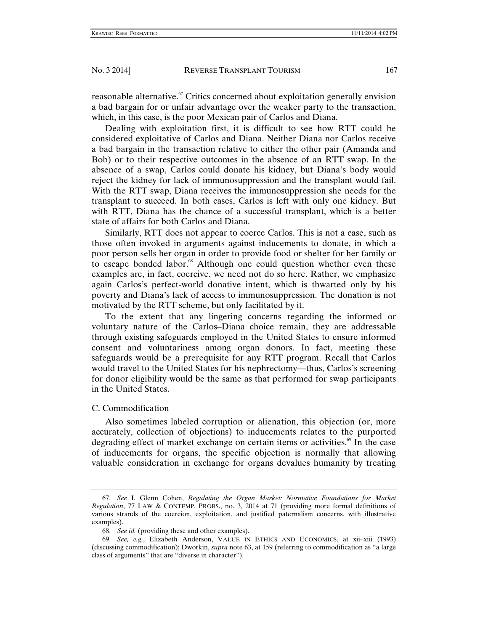reasonable alternative.<sup> $\sigma$ </sup> Critics concerned about exploitation generally envision a bad bargain for or unfair advantage over the weaker party to the transaction, which, in this case, is the poor Mexican pair of Carlos and Diana.

Dealing with exploitation first, it is difficult to see how RTT could be considered exploitative of Carlos and Diana. Neither Diana nor Carlos receive a bad bargain in the transaction relative to either the other pair (Amanda and Bob) or to their respective outcomes in the absence of an RTT swap. In the absence of a swap, Carlos could donate his kidney, but Diana's body would reject the kidney for lack of immunosuppression and the transplant would fail. With the RTT swap, Diana receives the immunosuppression she needs for the transplant to succeed. In both cases, Carlos is left with only one kidney. But with RTT, Diana has the chance of a successful transplant, which is a better state of affairs for both Carlos and Diana.

Similarly, RTT does not appear to coerce Carlos. This is not a case, such as those often invoked in arguments against inducements to donate, in which a poor person sells her organ in order to provide food or shelter for her family or to escape bonded labor.<sup>68</sup> Although one could question whether even these examples are, in fact, coercive, we need not do so here. Rather, we emphasize again Carlos's perfect-world donative intent, which is thwarted only by his poverty and Diana's lack of access to immunosuppression. The donation is not motivated by the RTT scheme, but only facilitated by it.

To the extent that any lingering concerns regarding the informed or voluntary nature of the Carlos–Diana choice remain, they are addressable through existing safeguards employed in the United States to ensure informed consent and voluntariness among organ donors. In fact, meeting these safeguards would be a prerequisite for any RTT program. Recall that Carlos would travel to the United States for his nephrectomy—thus, Carlos's screening for donor eligibility would be the same as that performed for swap participants in the United States.

#### C. Commodification

Also sometimes labeled corruption or alienation, this objection (or, more accurately, collection of objections) to inducements relates to the purported degrading effect of market exchange on certain items or activities.<sup>69</sup> In the case of inducements for organs, the specific objection is normally that allowing valuable consideration in exchange for organs devalues humanity by treating

 <sup>67.</sup> *See* I. Glenn Cohen, *Regulating the Organ Market: Normative Foundations for Market Regulation*, 77 LAW & CONTEMP. PROBS., no. 3, 2014 at 71 (providing more formal definitions of various strands of the coercion, exploitation, and justified paternalism concerns, with illustrative examples).

 <sup>68.</sup> *See id.* (providing these and other examples).

 <sup>69.</sup> *See, e.g.*, Elizabeth Anderson, VALUE IN ETHICS AND ECONOMICS, at xii–xiii (1993) (discussing commodification); Dworkin, *supra* note 63, at 159 (referring to commodification as "a large class of arguments" that are "diverse in character").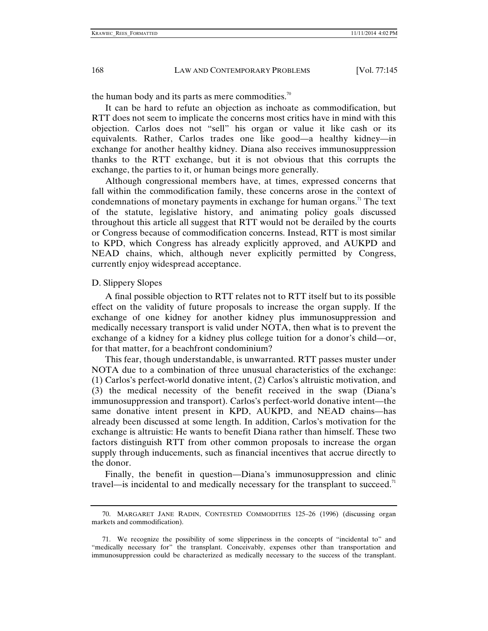the human body and its parts as mere commodities.<sup>70</sup>

It can be hard to refute an objection as inchoate as commodification, but RTT does not seem to implicate the concerns most critics have in mind with this objection. Carlos does not "sell" his organ or value it like cash or its equivalents. Rather, Carlos trades one like good—a healthy kidney—in exchange for another healthy kidney. Diana also receives immunosuppression thanks to the RTT exchange, but it is not obvious that this corrupts the exchange, the parties to it, or human beings more generally.

Although congressional members have, at times, expressed concerns that fall within the commodification family, these concerns arose in the context of condemnations of monetary payments in exchange for human organs.<sup> $\pi$ </sup> The text of the statute, legislative history, and animating policy goals discussed throughout this article all suggest that RTT would not be derailed by the courts or Congress because of commodification concerns. Instead, RTT is most similar to KPD, which Congress has already explicitly approved, and AUKPD and NEAD chains, which, although never explicitly permitted by Congress, currently enjoy widespread acceptance.

#### D. Slippery Slopes

A final possible objection to RTT relates not to RTT itself but to its possible effect on the validity of future proposals to increase the organ supply. If the exchange of one kidney for another kidney plus immunosuppression and medically necessary transport is valid under NOTA, then what is to prevent the exchange of a kidney for a kidney plus college tuition for a donor's child—or, for that matter, for a beachfront condominium?

This fear, though understandable, is unwarranted. RTT passes muster under NOTA due to a combination of three unusual characteristics of the exchange: (1) Carlos's perfect-world donative intent, (2) Carlos's altruistic motivation, and (3) the medical necessity of the benefit received in the swap (Diana's immunosuppression and transport). Carlos's perfect-world donative intent—the same donative intent present in KPD, AUKPD, and NEAD chains—has already been discussed at some length. In addition, Carlos's motivation for the exchange is altruistic: He wants to benefit Diana rather than himself. These two factors distinguish RTT from other common proposals to increase the organ supply through inducements, such as financial incentives that accrue directly to the donor.

Finally, the benefit in question—Diana's immunosuppression and clinic travel—is incidental to and medically necessary for the transplant to succeed.<sup>71</sup>

 <sup>70.</sup> MARGARET JANE RADIN, CONTESTED COMMODITIES 125–26 (1996) (discussing organ markets and commodification).

 <sup>71.</sup> We recognize the possibility of some slipperiness in the concepts of "incidental to" and "medically necessary for" the transplant. Conceivably, expenses other than transportation and immunosuppression could be characterized as medically necessary to the success of the transplant.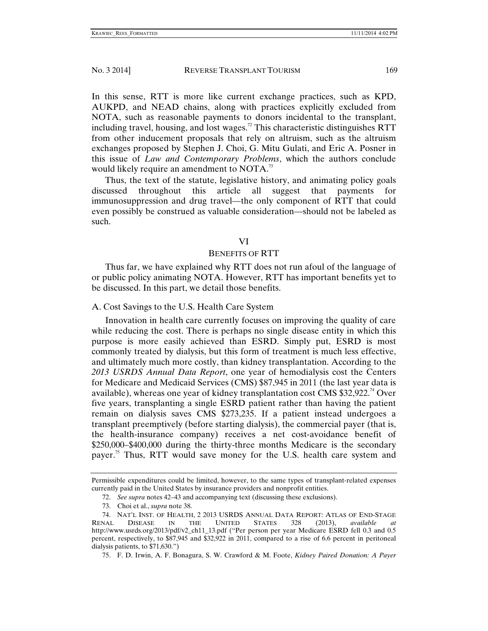In this sense, RTT is more like current exchange practices, such as KPD, AUKPD, and NEAD chains, along with practices explicitly excluded from NOTA, such as reasonable payments to donors incidental to the transplant, including travel, housing, and lost wages.<sup>72</sup> This characteristic distinguishes RTT from other inducement proposals that rely on altruism, such as the altruism exchanges proposed by Stephen J. Choi, G. Mitu Gulati, and Eric A. Posner in this issue of *Law and Contemporary Problems*, which the authors conclude would likely require an amendment to NOTA.<sup>73</sup>

Thus, the text of the statute, legislative history, and animating policy goals discussed throughout this article all suggest that payments for immunosuppression and drug travel—the only component of RTT that could even possibly be construed as valuable consideration—should not be labeled as such.

#### VI

#### BENEFITS OF RTT

Thus far, we have explained why RTT does not run afoul of the language of or public policy animating NOTA. However, RTT has important benefits yet to be discussed. In this part, we detail those benefits.

#### A. Cost Savings to the U.S. Health Care System

Innovation in health care currently focuses on improving the quality of care while reducing the cost. There is perhaps no single disease entity in which this purpose is more easily achieved than ESRD. Simply put, ESRD is most commonly treated by dialysis, but this form of treatment is much less effective, and ultimately much more costly, than kidney transplantation. According to the *2013 USRDS Annual Data Report*, one year of hemodialysis cost the Centers for Medicare and Medicaid Services (CMS) \$87,945 in 2011 (the last year data is available), whereas one year of kidney transplantation cost CMS  $$32,922.<sup>74</sup>$  Over five years, transplanting a single ESRD patient rather than having the patient remain on dialysis saves CMS \$273,235. If a patient instead undergoes a transplant preemptively (before starting dialysis), the commercial payer (that is, the health-insurance company) receives a net cost-avoidance benefit of \$250,000–\$400,000 during the thirty-three months Medicare is the secondary payer.<sup>75</sup> Thus, RTT would save money for the U.S. health care system and

Permissible expenditures could be limited, however, to the same types of transplant-related expenses currently paid in the United States by insurance providers and nonprofit entities.

 <sup>72.</sup> *See supra* notes 42–43 and accompanying text (discussing these exclusions).

 <sup>73.</sup> Choi et al., *supra* note 38.

 <sup>74.</sup> NAT'L INST. OF HEALTH, 2 2013 USRDS ANNUAL DATA REPORT: ATLAS OF END-STAGE RENAL DISEASE IN THE UNITED STATES 328 (2013), *available at*  http://www.usrds.org/2013/pdf/v2\_ch11\_13.pdf ("Per person per year Medicare ESRD fell 0.3 and 0.5 percent, respectively, to \$87,945 and \$32,922 in 2011, compared to a rise of 6.6 percent in peritoneal dialysis patients, to \$71,630.")

 <sup>75.</sup> F. D. Irwin, A. F. Bonagura, S. W. Crawford & M. Foote, *Kidney Paired Donation: A Payer*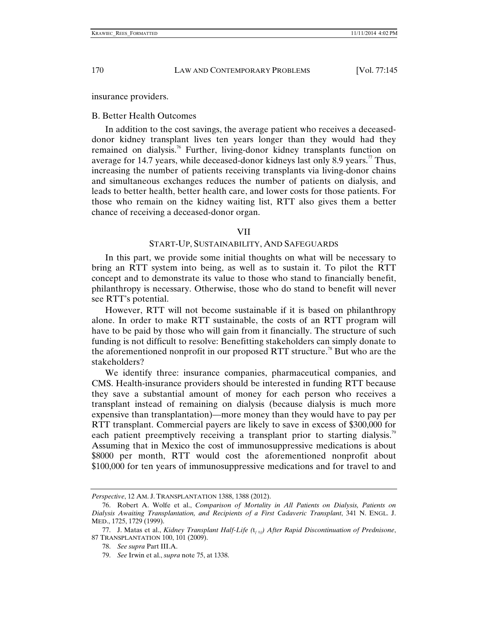insurance providers.

#### B. Better Health Outcomes

In addition to the cost savings, the average patient who receives a deceaseddonor kidney transplant lives ten years longer than they would had they remained on dialysis.<sup>76</sup> Further, living-donor kidney transplants function on average for 14.7 years, while deceased-donor kidneys last only 8.9 years.<sup>77</sup> Thus, increasing the number of patients receiving transplants via living-donor chains and simultaneous exchanges reduces the number of patients on dialysis, and leads to better health, better health care, and lower costs for those patients. For those who remain on the kidney waiting list, RTT also gives them a better chance of receiving a deceased-donor organ.

#### VII

#### START-UP, SUSTAINABILITY, AND SAFEGUARDS

In this part, we provide some initial thoughts on what will be necessary to bring an RTT system into being, as well as to sustain it. To pilot the RTT concept and to demonstrate its value to those who stand to financially benefit, philanthropy is necessary. Otherwise, those who do stand to benefit will never see RTT's potential.

However, RTT will not become sustainable if it is based on philanthropy alone. In order to make RTT sustainable, the costs of an RTT program will have to be paid by those who will gain from it financially. The structure of such funding is not difficult to resolve: Benefitting stakeholders can simply donate to the aforementioned nonprofit in our proposed RTT structure.<sup>78</sup> But who are the stakeholders?

We identify three: insurance companies, pharmaceutical companies, and CMS. Health-insurance providers should be interested in funding RTT because they save a substantial amount of money for each person who receives a transplant instead of remaining on dialysis (because dialysis is much more expensive than transplantation)—more money than they would have to pay per RTT transplant. Commercial payers are likely to save in excess of \$300,000 for each patient preemptively receiving a transplant prior to starting dialysis.<sup>79</sup> Assuming that in Mexico the cost of immunosuppressive medications is about \$8000 per month, RTT would cost the aforementioned nonprofit about \$100,000 for ten years of immunosuppressive medications and for travel to and

*Perspective*, 12 AM. J. TRANSPLANTATION 1388, 1388 (2012).

 <sup>76.</sup> Robert A. Wolfe et al., *Comparison of Mortality in All Patients on Dialysis, Patients on Dialysis Awaiting Transplantation, and Recipients of a First Cadaveric Transplant*, 341 N. ENGL. J. MED., 1725, 1729 (1999).

 <sup>77.</sup> J. Matas et al., *Kidney Transplant Half-Life (*t*[ ½]) After Rapid Discontinuation of Prednisone*, 87 TRANSPLANTATION 100, 101 (2009).

 <sup>78.</sup> *See supra* Part III.A.

 <sup>79.</sup> *See* Irwin et al., *supra* note 75, at 1338.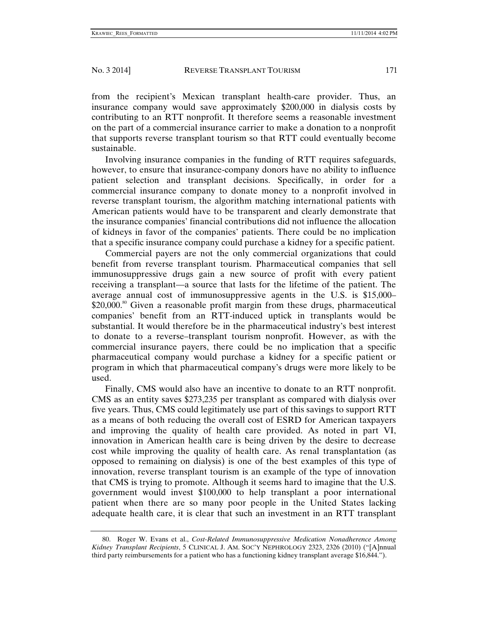from the recipient's Mexican transplant health-care provider. Thus, an insurance company would save approximately \$200,000 in dialysis costs by contributing to an RTT nonprofit. It therefore seems a reasonable investment on the part of a commercial insurance carrier to make a donation to a nonprofit that supports reverse transplant tourism so that RTT could eventually become sustainable.

Involving insurance companies in the funding of RTT requires safeguards, however, to ensure that insurance-company donors have no ability to influence patient selection and transplant decisions. Specifically, in order for a commercial insurance company to donate money to a nonprofit involved in reverse transplant tourism, the algorithm matching international patients with American patients would have to be transparent and clearly demonstrate that the insurance companies' financial contributions did not influence the allocation of kidneys in favor of the companies' patients. There could be no implication that a specific insurance company could purchase a kidney for a specific patient.

Commercial payers are not the only commercial organizations that could benefit from reverse transplant tourism. Pharmaceutical companies that sell immunosuppressive drugs gain a new source of profit with every patient receiving a transplant—a source that lasts for the lifetime of the patient. The average annual cost of immunosuppressive agents in the U.S. is \$15,000– \$20,000.<sup>80</sup> Given a reasonable profit margin from these drugs, pharmaceutical companies' benefit from an RTT-induced uptick in transplants would be substantial. It would therefore be in the pharmaceutical industry's best interest to donate to a reverse–transplant tourism nonprofit. However, as with the commercial insurance payers, there could be no implication that a specific pharmaceutical company would purchase a kidney for a specific patient or program in which that pharmaceutical company's drugs were more likely to be used.

Finally, CMS would also have an incentive to donate to an RTT nonprofit. CMS as an entity saves \$273,235 per transplant as compared with dialysis over five years. Thus, CMS could legitimately use part of this savings to support RTT as a means of both reducing the overall cost of ESRD for American taxpayers and improving the quality of health care provided. As noted in part VI, innovation in American health care is being driven by the desire to decrease cost while improving the quality of health care. As renal transplantation (as opposed to remaining on dialysis) is one of the best examples of this type of innovation, reverse transplant tourism is an example of the type of innovation that CMS is trying to promote. Although it seems hard to imagine that the U.S. government would invest \$100,000 to help transplant a poor international patient when there are so many poor people in the United States lacking adequate health care, it is clear that such an investment in an RTT transplant

 <sup>80.</sup> Roger W. Evans et al., *Cost-Related Immunosuppressive Medication Nonadherence Among Kidney Transplant Recipients*, 5 CLINICAL J. AM. SOC'Y NEPHROLOGY 2323, 2326 (2010) ("[A]nnual third party reimbursements for a patient who has a functioning kidney transplant average \$16,844.").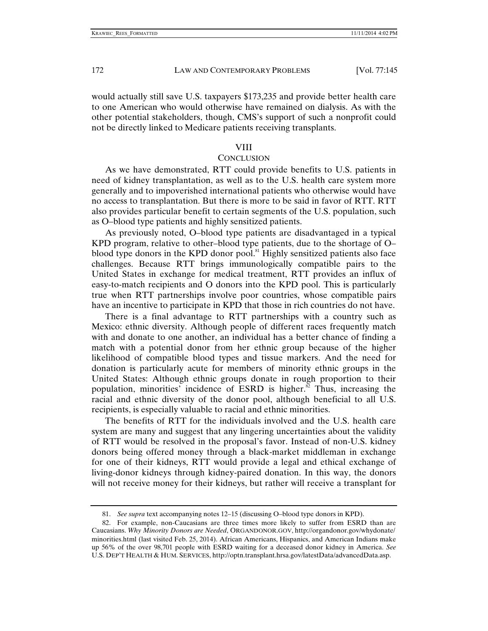would actually still save U.S. taxpayers \$173,235 and provide better health care to one American who would otherwise have remained on dialysis. As with the other potential stakeholders, though, CMS's support of such a nonprofit could not be directly linked to Medicare patients receiving transplants.

#### VIII

# **CONCLUSION**

As we have demonstrated, RTT could provide benefits to U.S. patients in need of kidney transplantation, as well as to the U.S. health care system more generally and to impoverished international patients who otherwise would have no access to transplantation. But there is more to be said in favor of RTT. RTT also provides particular benefit to certain segments of the U.S. population, such as O–blood type patients and highly sensitized patients.

As previously noted, O–blood type patients are disadvantaged in a typical KPD program, relative to other–blood type patients, due to the shortage of O– blood type donors in the KPD donor pool.<sup>81</sup> Highly sensitized patients also face challenges. Because RTT brings immunologically compatible pairs to the United States in exchange for medical treatment, RTT provides an influx of easy-to-match recipients and O donors into the KPD pool. This is particularly true when RTT partnerships involve poor countries, whose compatible pairs have an incentive to participate in KPD that those in rich countries do not have.

There is a final advantage to RTT partnerships with a country such as Mexico: ethnic diversity. Although people of different races frequently match with and donate to one another, an individual has a better chance of finding a match with a potential donor from her ethnic group because of the higher likelihood of compatible blood types and tissue markers. And the need for donation is particularly acute for members of minority ethnic groups in the United States: Although ethnic groups donate in rough proportion to their population, minorities' incidence of ESRD is higher. $\frac{3}{2}$  Thus, increasing the racial and ethnic diversity of the donor pool, although beneficial to all U.S. recipients, is especially valuable to racial and ethnic minorities.

The benefits of RTT for the individuals involved and the U.S. health care system are many and suggest that any lingering uncertainties about the validity of RTT would be resolved in the proposal's favor. Instead of non-U.S. kidney donors being offered money through a black-market middleman in exchange for one of their kidneys, RTT would provide a legal and ethical exchange of living-donor kidneys through kidney-paired donation. In this way, the donors will not receive money for their kidneys, but rather will receive a transplant for

 <sup>81.</sup> *See supra* text accompanying notes 12–15 (discussing O–blood type donors in KPD).

 <sup>82.</sup> For example, non-Caucasians are three times more likely to suffer from ESRD than are Caucasians. *Why Minority Donors are Needed*, ORGANDONOR.GOV, http://organdonor.gov/whydonate/ minorities.html (last visited Feb. 25, 2014). African Americans, Hispanics, and American Indians make up 56% of the over 98,701 people with ESRD waiting for a deceased donor kidney in America. *See* U.S. DEP'T HEALTH & HUM. SERVICES, http://optn.transplant.hrsa.gov/latestData/advancedData.asp.